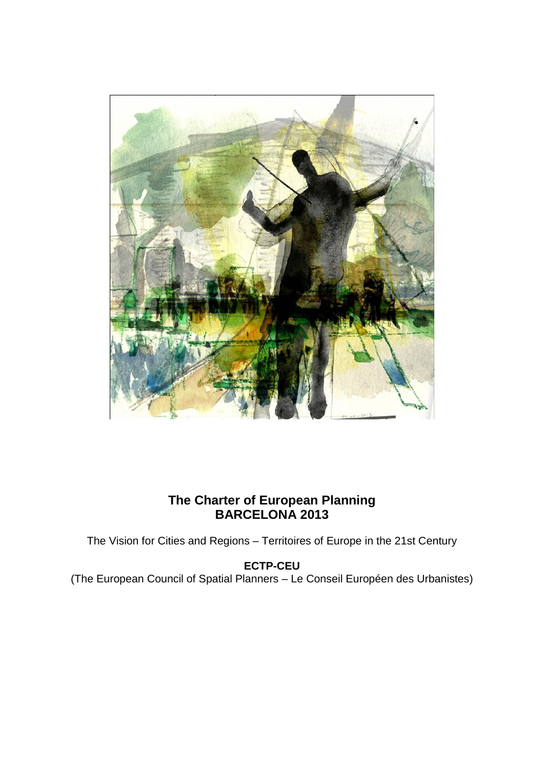

# **The Charter of European Planning BARCELONA 2013**

The Vision for Cities and Regions – Territoires of Europe in the 21st Century

## **ECTP-CEU**

(The European Council of Spatial Planners – Le Conseil Européen des Urbanistes)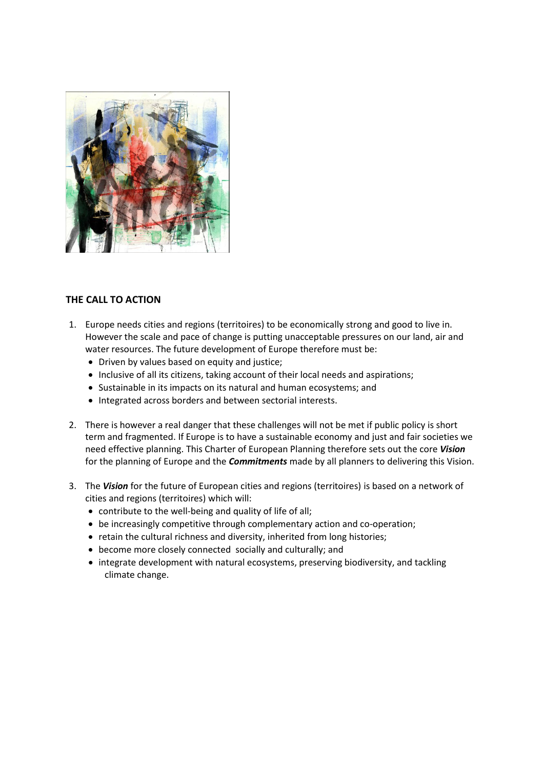

## **THE CALL TO ACTION**

- 1. Europe needs cities and regions (territoires) to be economically strong and good to live in. However the scale and pace of change is putting unacceptable pressures on our land, air and water resources. The future development of Europe therefore must be:
	- Driven by values based on equity and justice;
	- Inclusive of all its citizens, taking account of their local needs and aspirations;
	- Sustainable in its impacts on its natural and human ecosystems; and
	- Integrated across borders and between sectorial interests.
- 2. There is however a real danger that these challenges will not be met if public policy is short term and fragmented. If Europe is to have a sustainable economy and just and fair societies we need effective planning. This Charter of European Planning therefore sets out the core *Vision* for the planning of Europe and the *Commitments* made by all planners to delivering this Vision.
- 3. The *Vision* for the future of European cities and regions (territoires) is based on a network of cities and regions (territoires) which will:
	- contribute to the well-being and quality of life of all;
	- be increasingly competitive through complementary action and co-operation;
	- retain the cultural richness and diversity, inherited from long histories;
	- become more closely connected socially and culturally; and
	- integrate development with natural ecosystems, preserving biodiversity, and tackling climate change.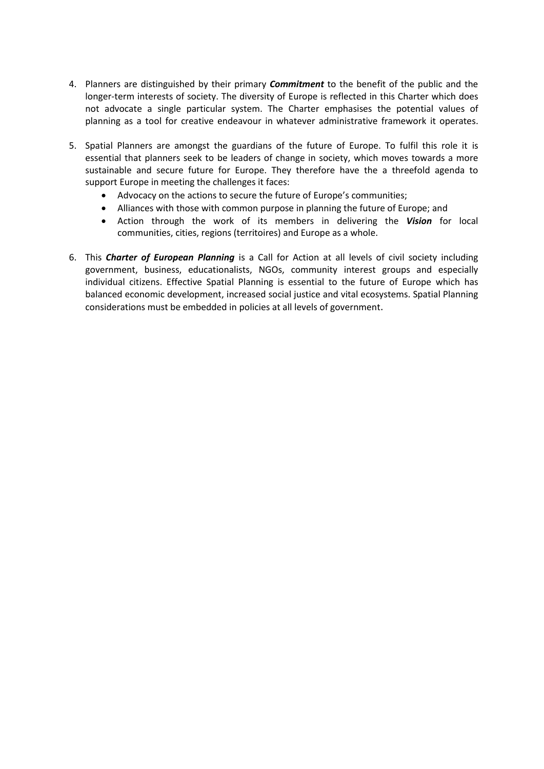- 4. Planners are distinguished by their primary *Commitment* to the benefit of the public and the longer-term interests of society. The diversity of Europe is reflected in this Charter which does not advocate a single particular system. The Charter emphasises the potential values of planning as a tool for creative endeavour in whatever administrative framework it operates.
- 5. Spatial Planners are amongst the guardians of the future of Europe. To fulfil this role it is essential that planners seek to be leaders of change in society, which moves towards a more sustainable and secure future for Europe. They therefore have the a threefold agenda to support Europe in meeting the challenges it faces:
	- Advocacy on the actions to secure the future of Europe's communities;
	- Alliances with those with common purpose in planning the future of Europe; and
	- Action through the work of its members in delivering the *Vision* for local communities, cities, regions (territoires) and Europe as a whole.
- 6. This *Charter of European Planning* is a Call for Action at all levels of civil society including government, business, educationalists, NGOs, community interest groups and especially individual citizens. Effective Spatial Planning is essential to the future of Europe which has balanced economic development, increased social justice and vital ecosystems. Spatial Planning considerations must be embedded in policies at all levels of government.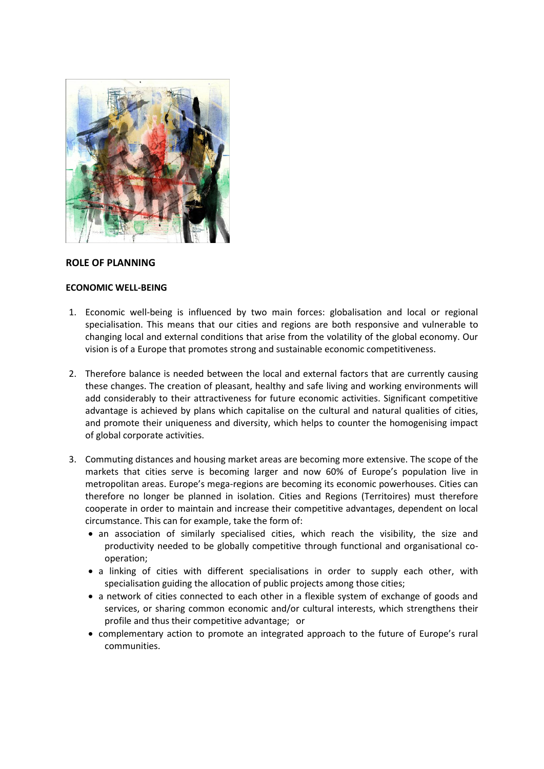

### **ROLE OF PLANNING**

### **ECONOMIC WELL-BEING**

- 1. Economic well-being is influenced by two main forces: globalisation and local or regional specialisation. This means that our cities and regions are both responsive and vulnerable to changing local and external conditions that arise from the volatility of the global economy. Our vision is of a Europe that promotes strong and sustainable economic competitiveness.
- 2. Therefore balance is needed between the local and external factors that are currently causing these changes. The creation of pleasant, healthy and safe living and working environments will add considerably to their attractiveness for future economic activities. Significant competitive advantage is achieved by plans which capitalise on the cultural and natural qualities of cities, and promote their uniqueness and diversity, which helps to counter the homogenising impact of global corporate activities.
- 3. Commuting distances and housing market areas are becoming more extensive. The scope of the markets that cities serve is becoming larger and now 60% of Europe's population live in metropolitan areas. Europe's mega-regions are becoming its economic powerhouses. Cities can therefore no longer be planned in isolation. Cities and Regions (Territoires) must therefore cooperate in order to maintain and increase their competitive advantages, dependent on local circumstance. This can for example, take the form of:
	- an association of similarly specialised cities, which reach the visibility, the size and productivity needed to be globally competitive through functional and organisational cooperation;
	- a linking of cities with different specialisations in order to supply each other, with specialisation guiding the allocation of public projects among those cities;
	- a network of cities connected to each other in a flexible system of exchange of goods and services, or sharing common economic and/or cultural interests, which strengthens their profile and thus their competitive advantage; or
	- complementary action to promote an integrated approach to the future of Europe's rural communities.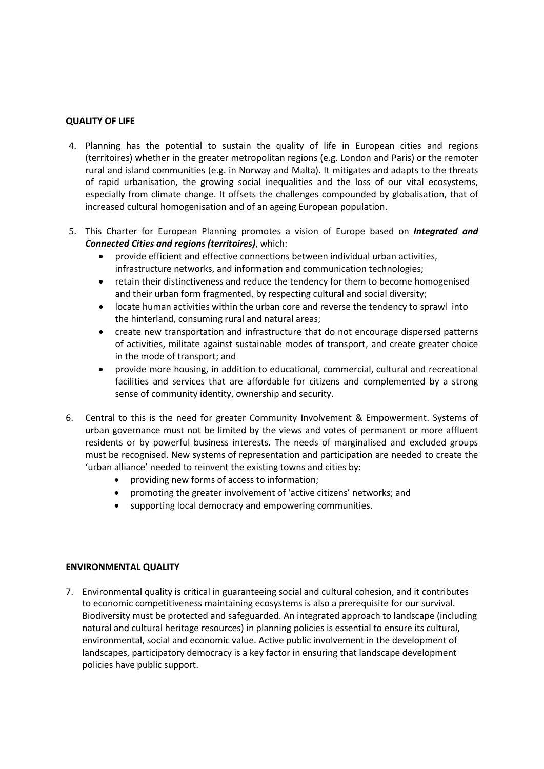### **QUALITY OF LIFE**

- 4. Planning has the potential to sustain the quality of life in European cities and regions (territoires) whether in the greater metropolitan regions (e.g. London and Paris) or the remoter rural and island communities (e.g. in Norway and Malta). It mitigates and adapts to the threats of rapid urbanisation, the growing social inequalities and the loss of our vital ecosystems, especially from climate change. It offsets the challenges compounded by globalisation, that of increased cultural homogenisation and of an ageing European population.
- 5. This Charter for European Planning promotes a vision of Europe based on *Integrated and Connected Cities and regions (territoires)*, which:
	- provide efficient and effective connections between individual urban activities, infrastructure networks, and information and communication technologies;
	- retain their distinctiveness and reduce the tendency for them to become homogenised and their urban form fragmented, by respecting cultural and social diversity;
	- locate human activities within the urban core and reverse the tendency to sprawl into the hinterland, consuming rural and natural areas;
	- create new transportation and infrastructure that do not encourage dispersed patterns of activities, militate against sustainable modes of transport, and create greater choice in the mode of transport; and
	- provide more housing, in addition to educational, commercial, cultural and recreational facilities and services that are affordable for citizens and complemented by a strong sense of community identity, ownership and security.
- 6. Central to this is the need for greater Community Involvement & Empowerment. Systems of urban governance must not be limited by the views and votes of permanent or more affluent residents or by powerful business interests. The needs of marginalised and excluded groups must be recognised. New systems of representation and participation are needed to create the 'urban alliance' needed to reinvent the existing towns and cities by:
	- providing new forms of access to information;
	- promoting the greater involvement of 'active citizens' networks; and
	- supporting local democracy and empowering communities.

### **ENVIRONMENTAL QUALITY**

7. Environmental quality is critical in guaranteeing social and cultural cohesion, and it contributes to economic competitiveness maintaining ecosystems is also a prerequisite for our survival. Biodiversity must be protected and safeguarded. An integrated approach to landscape (including natural and cultural heritage resources) in planning policies is essential to ensure its cultural, environmental, social and economic value. Active public involvement in the development of landscapes, participatory democracy is a key factor in ensuring that landscape development policies have public support.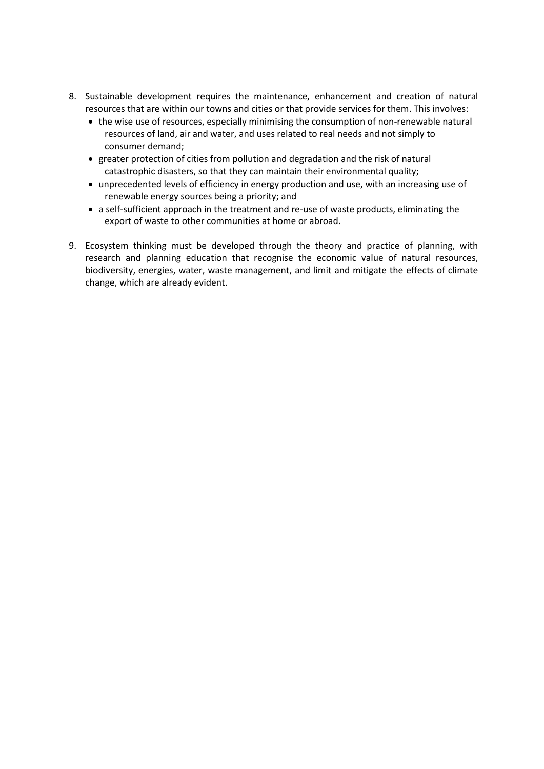- 8. Sustainable development requires the maintenance, enhancement and creation of natural resources that are within our towns and cities or that provide services for them. This involves:
	- the wise use of resources, especially minimising the consumption of non-renewable natural resources of land, air and water, and uses related to real needs and not simply to consumer demand;
	- greater protection of cities from pollution and degradation and the risk of natural catastrophic disasters, so that they can maintain their environmental quality;
	- unprecedented levels of efficiency in energy production and use, with an increasing use of renewable energy sources being a priority; and
	- a self-sufficient approach in the treatment and re-use of waste products, eliminating the export of waste to other communities at home or abroad.
- 9. Ecosystem thinking must be developed through the theory and practice of planning, with research and planning education that recognise the economic value of natural resources, biodiversity, energies, water, waste management, and limit and mitigate the effects of climate change, which are already evident.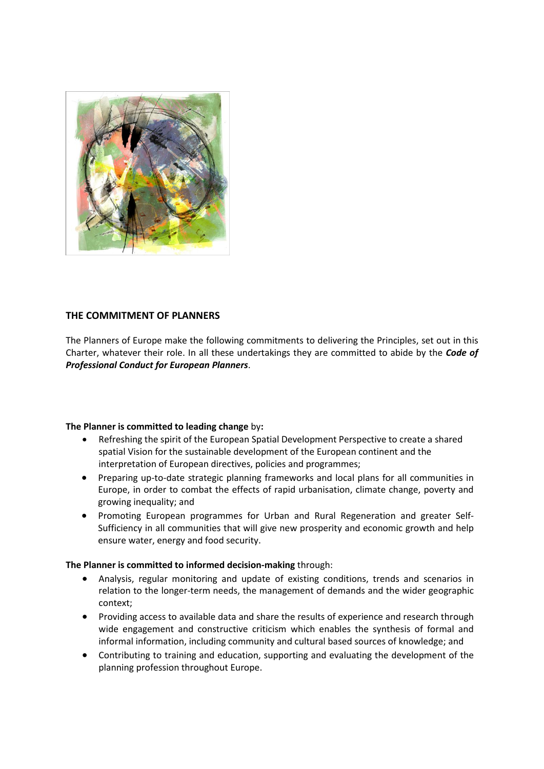

## **THE COMMITMENT OF PLANNERS**

The Planners of Europe make the following commitments to delivering the Principles, set out in this Charter, whatever their role. In all these undertakings they are committed to abide by the *Code of Professional Conduct for European Planners*.

### **The Planner is committed to leading change** by**:**

- Refreshing the spirit of the European Spatial Development Perspective to create a shared spatial Vision for the sustainable development of the European continent and the interpretation of European directives, policies and programmes;
- Preparing up-to-date strategic planning frameworks and local plans for all communities in Europe, in order to combat the effects of rapid urbanisation, climate change, poverty and growing inequality; and
- Promoting European programmes for Urban and Rural Regeneration and greater Self-Sufficiency in all communities that will give new prosperity and economic growth and help ensure water, energy and food security.

### **The Planner is committed to informed decision-making** through:

- Analysis, regular monitoring and update of existing conditions, trends and scenarios in relation to the longer-term needs, the management of demands and the wider geographic context;
- Providing access to available data and share the results of experience and research through wide engagement and constructive criticism which enables the synthesis of formal and informal information, including community and cultural based sources of knowledge; and
- Contributing to training and education, supporting and evaluating the development of the planning profession throughout Europe.